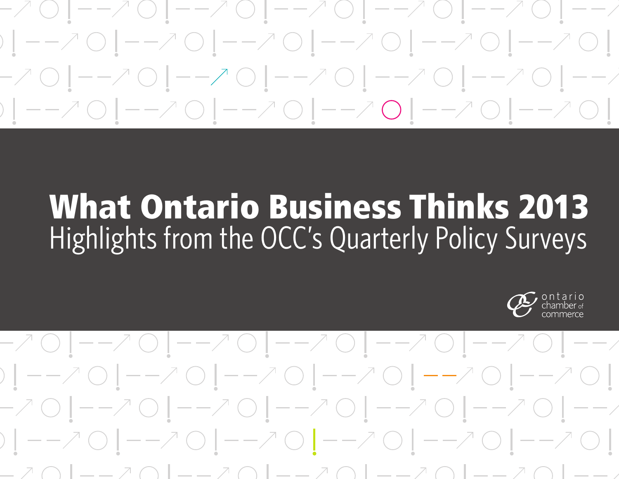- / 〇 | ― - / 〇 | ― - / 〇 | ― - / 〇 | ― - / 〇 | ― - / 〇 | ― - /  $-701 -701 -701 -701 -701 -701 -701 -7$ 

## What Ontario Business Thinks 2013 Highlights from the OCC's Quarterly Policy Surveys



### -70|--70|--70|--70|--70|--70|--/  $-701--701--701--701--701--701--701--7$ \_ ↗ ⌒ | \_ \_ ↗ ⌒ | \_ \_ ↗ ⌒ | \_ \_ ↗ ⌒ | \_ \_ ↗ ⌒ | \_ \_ ↗ ⌒ | \_ \_ \_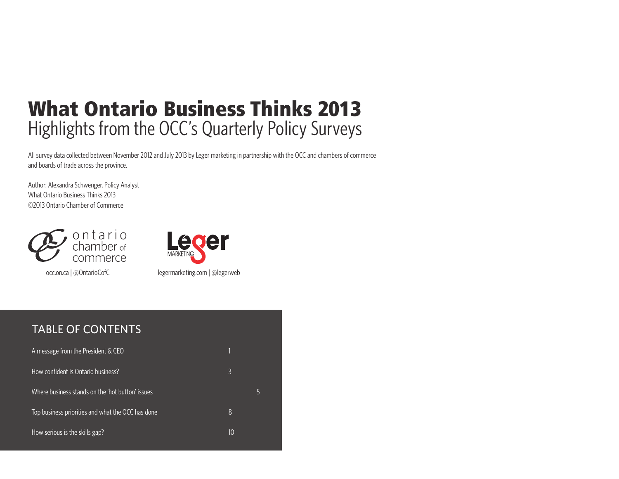### What Ontario Business Thinks 2013 Highlights from the OCC's Quarterly Policy Surveys

All survey data collected between November 2012 and July 2013 by Leger marketing in partnership with the OCC and chambers of commerce and boards of trade across the province.

Author: Alexandra Schwenger, Policy Analyst What Ontario Business Thinks 2013 ©2013 Ontario Chamber of Commerce



occ.on.ca | @OntarioCofC



#### Table of Contents

| A message from the President & CEO                |    |   |
|---------------------------------------------------|----|---|
| How confident is Ontario business?                | 3  |   |
| Where business stands on the 'hot button' issues  |    | Ь |
| Top business priorities and what the OCC has done | 8  |   |
| How serious is the skills gap?                    | 10 |   |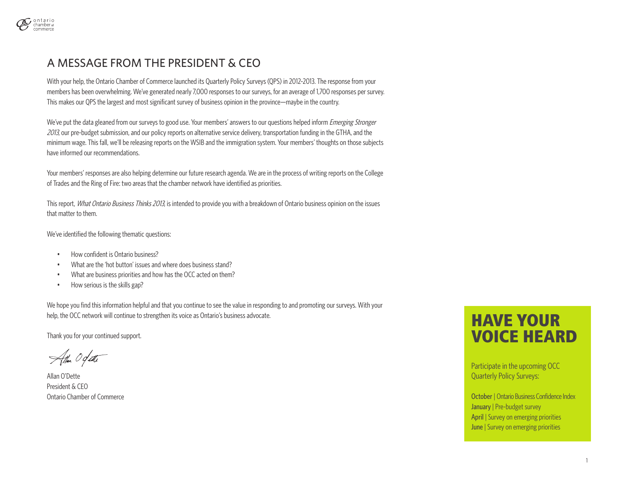

#### A Message frOm the President & CEO

With your help, the Ontario Chamber of Commerce launched its Quarterly Policy Surveys (QPS) in 2012-2013. The response from your members has been overwhelming. We've generated nearly 7,000 responses to our surveys, for an average of 1,700 responses per survey. This makes our QPS the largest and most significant survey of business opinion in the province—maybe in the country.

We've put the data gleaned from our surveys to good use. Your members' answers to our questions helped inform *Emerging Stronger* 2013, our pre-budget submission, and our policy reports on alternative service delivery, transportation funding in the GTHA, and the minimum wage. This fall, we'll be releasing reports on the WSIB and the immigration system. Your members' thoughts on those subjects have informed our recommendations.

Your members' responses are also helping determine our future research agenda. We are in the process of writing reports on the College of Trades and the Ring of Fire: two areas that the chamber network have identified as priorities.

This report, What Ontario Business Thinks 2013, is intended to provide you with a breakdown of Ontario business opinion on the issues that matter to them.

We've identified the following thematic questions:

- How confident is Ontario business?
- What are the 'hot button' issues and where does business stand?
- What are business priorities and how has the OCC acted on them?
- How serious is the skills gap?

We hope you find this information helpful and that you continue to see the value in responding to and promoting our surveys. With your help, the OCC network will continue to strengthen its voice as Ontario's business advocate.

Thank you for your continued support.

Atten Ogate

Allan O'Dette President & CEO Ontario Chamber of Commerce

#### HAVE YOUR VOICE HEARD

Participate in the upcoming OCC Quarterly Policy Surveys:

October | Ontario Business Confidence Index January | Pre-budget survey April | Survey on emerging priorities June | Survey on emerging priorities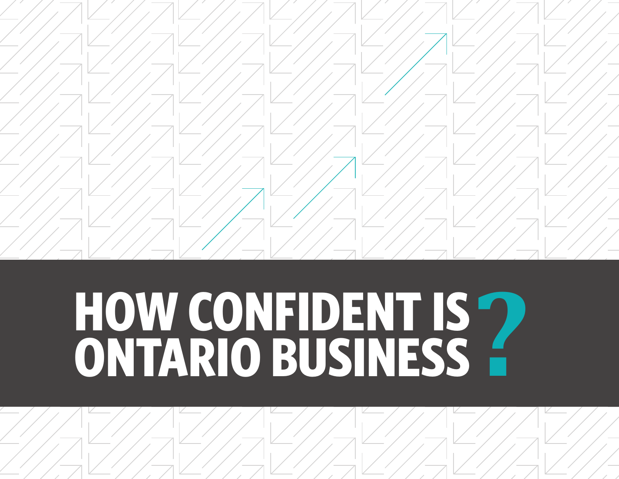

# **How confident is HOW CONFIDENT IS ?<br>ONTARIO BUSINESS ?**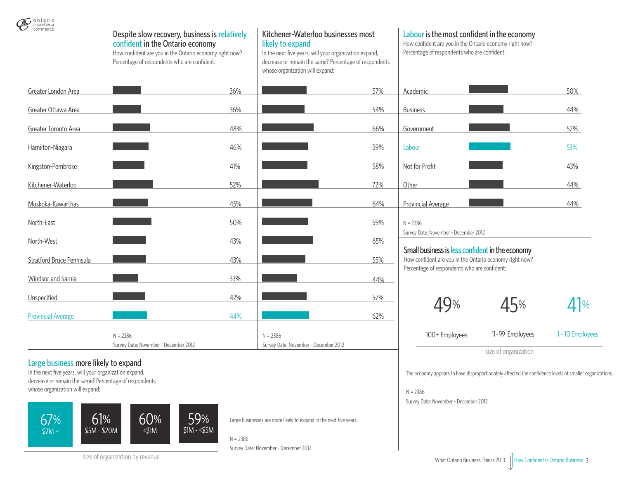

|                           |                                                                                                                                                                                              |     |                                                                                                                                                                                                               |     | size of organization                                                                                                                                   |                 |             |  |  |
|---------------------------|----------------------------------------------------------------------------------------------------------------------------------------------------------------------------------------------|-----|---------------------------------------------------------------------------------------------------------------------------------------------------------------------------------------------------------------|-----|--------------------------------------------------------------------------------------------------------------------------------------------------------|-----------------|-------------|--|--|
|                           | $N = 2386$<br>Survey Date: November - December 2012                                                                                                                                          |     | $N = 2386$<br>Survey Date: November - December 2012                                                                                                                                                           |     | 100+ Employees                                                                                                                                         | 11-99 Employees | $1 - 10$ Em |  |  |
| <b>Provincial Average</b> |                                                                                                                                                                                              | 44% |                                                                                                                                                                                                               | 62% |                                                                                                                                                        |                 |             |  |  |
| Unspecified               |                                                                                                                                                                                              | 42% |                                                                                                                                                                                                               | 57% |                                                                                                                                                        | 45%             |             |  |  |
| Windsor and Sarnia        |                                                                                                                                                                                              | 33% |                                                                                                                                                                                                               | 44% |                                                                                                                                                        |                 |             |  |  |
| Stratford Bruce Pennisula |                                                                                                                                                                                              | 43% |                                                                                                                                                                                                               | 55% | How confident are you in the Ontario economy right now?<br>Percentage of respondents who are confident:                                                |                 |             |  |  |
| North-West                |                                                                                                                                                                                              | 43% |                                                                                                                                                                                                               | 65% | Small business is less confident in the economy                                                                                                        |                 |             |  |  |
| North-East                |                                                                                                                                                                                              | 50% |                                                                                                                                                                                                               | 59% | $N = 2386$<br>Survey Date: November - December 2012                                                                                                    |                 |             |  |  |
| Muskoka-Kawarthas         |                                                                                                                                                                                              | 45% |                                                                                                                                                                                                               | 64% | Provincial Average                                                                                                                                     |                 | 44%         |  |  |
| Kitchener-Waterloo        |                                                                                                                                                                                              | 52% |                                                                                                                                                                                                               | 72% | Other                                                                                                                                                  |                 | 44%         |  |  |
| Kingston-Pembroke         |                                                                                                                                                                                              | 41% |                                                                                                                                                                                                               | 58% | Not for Profit                                                                                                                                         |                 | 43%         |  |  |
| Hamilton-Niagara          |                                                                                                                                                                                              | 46% |                                                                                                                                                                                                               | 59% | Labour                                                                                                                                                 |                 | 53%         |  |  |
| Greater Toronto Area      |                                                                                                                                                                                              | 48% |                                                                                                                                                                                                               | 66% | Government                                                                                                                                             |                 | 52%         |  |  |
| Greater Ottawa Area       |                                                                                                                                                                                              | 36% |                                                                                                                                                                                                               | 54% | <b>Business</b>                                                                                                                                        |                 | 44%         |  |  |
| Greater London Area       |                                                                                                                                                                                              | 36% |                                                                                                                                                                                                               | 57% | Academic                                                                                                                                               |                 | 50%         |  |  |
| chamber of<br>commerce    | Despite slow recovery, business is relatively<br>confident in the Ontario economy<br>How confident are you in the Ontario economy right now?<br>Percentage of respondents who are confident: |     | Kitchener-Waterloo businesses most<br>likely to expand<br>In the next five years, will your organization expand,<br>decrease or remain the same? Percentage of respondents<br>whose organization will expand: |     | Labour is the most confident in the economy<br>How confident are you in the Ontario economy right now?<br>Percentage of respondents who are confident: |                 |             |  |  |

#### Large business more likely to expand

In the next five years, will your organization expand, decrease or remain the same? Percentage of respondents whose organization will expand:



Large businesses are more likely to expand in the next five years.

N = 2386

size of organization by revenue

Survey Date: November - December 2012

 $11%$ 

**Employees** 

The economy appears to have disproportionately affected the confidence levels of smaller organizations.

N = 2386

Survey Date: November - December 2012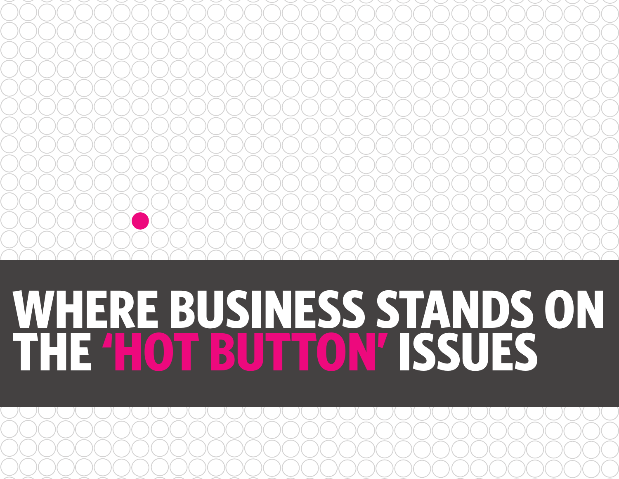## **WHERE BUSINESS STANDS on The 'hot button' issues**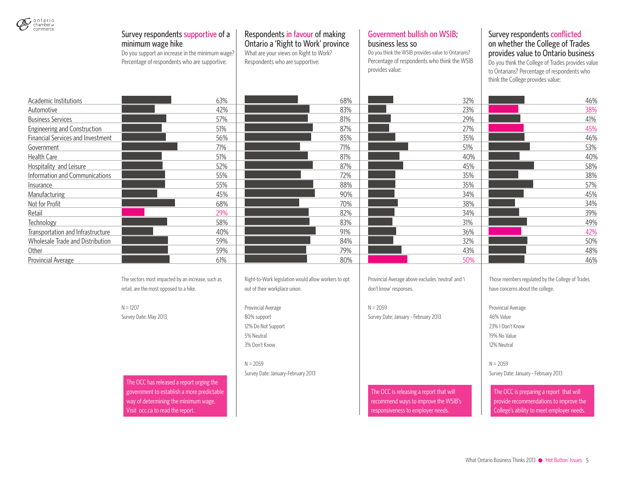| $\mathcal{Q}$ ontario<br>chamber of commerce | Survey respondents supportive of a<br>minimum wage hike<br>Do you support an increase in the minimum wage?<br>Percentage of respondents who are supportive: | Respondents in favour of making<br>Ontario a 'Right to Work' province<br>What are your views on Right to Work?<br>Respondents who are supportive: | <b>Government bullish on WSIB;</b><br>business less so<br>Do you think the WSIB provides value to Ontarians?<br>Percentage of respondents who think the WSIB<br>provides value: | Survey respondents conflicted<br>on whether the College of Trades<br>provides value to Ontario business<br>Do you think the College of Trades provides value<br>to Ontarians? Percentage of respondents who<br>think the College provides value: |
|----------------------------------------------|-------------------------------------------------------------------------------------------------------------------------------------------------------------|---------------------------------------------------------------------------------------------------------------------------------------------------|---------------------------------------------------------------------------------------------------------------------------------------------------------------------------------|--------------------------------------------------------------------------------------------------------------------------------------------------------------------------------------------------------------------------------------------------|
| Academic Institutions                        | 63%                                                                                                                                                         | 68%                                                                                                                                               | 32%                                                                                                                                                                             | 46%                                                                                                                                                                                                                                              |
| Automotive                                   | 42%                                                                                                                                                         | 83%                                                                                                                                               | 23%                                                                                                                                                                             | 38%                                                                                                                                                                                                                                              |
| <b>Business Services</b>                     | 57%                                                                                                                                                         | 81%                                                                                                                                               | 29%                                                                                                                                                                             | 41%                                                                                                                                                                                                                                              |
| <b>Engineering and Construction</b>          | 51%                                                                                                                                                         | 87%                                                                                                                                               | 27%                                                                                                                                                                             | 45%                                                                                                                                                                                                                                              |
| Financial Services and Investment            | 56%                                                                                                                                                         | 85%                                                                                                                                               | 35%                                                                                                                                                                             | 46%                                                                                                                                                                                                                                              |
| Government                                   | 71%                                                                                                                                                         | 71%                                                                                                                                               | 51%                                                                                                                                                                             | 53%                                                                                                                                                                                                                                              |
| Health Care                                  | 51%                                                                                                                                                         | 81%                                                                                                                                               | 40%                                                                                                                                                                             | 40%                                                                                                                                                                                                                                              |
| Hospitality and Leisure                      | 52%                                                                                                                                                         | 87%                                                                                                                                               | 45%                                                                                                                                                                             | 58%                                                                                                                                                                                                                                              |
| Information and Communications               | 55%                                                                                                                                                         | 72%                                                                                                                                               | 35%                                                                                                                                                                             | 38%                                                                                                                                                                                                                                              |
| Insurance                                    | 55%                                                                                                                                                         | 88%                                                                                                                                               | 35%                                                                                                                                                                             | 57%                                                                                                                                                                                                                                              |
| Manufacturing                                | 45%                                                                                                                                                         | 90%                                                                                                                                               | 34%                                                                                                                                                                             | 45%                                                                                                                                                                                                                                              |
| Not for Profit                               | 68%                                                                                                                                                         | 70%                                                                                                                                               | 38%                                                                                                                                                                             | 34%                                                                                                                                                                                                                                              |
| Retail                                       | 29%                                                                                                                                                         | 82%                                                                                                                                               | 34%                                                                                                                                                                             | 39%                                                                                                                                                                                                                                              |
| Technology                                   | 58%                                                                                                                                                         | 83%                                                                                                                                               | 31%                                                                                                                                                                             | 49%                                                                                                                                                                                                                                              |
| Transportation and Infrastructure            | 40%                                                                                                                                                         | 91%                                                                                                                                               | 36%                                                                                                                                                                             | 42%                                                                                                                                                                                                                                              |
| Wholesale Trade and Distribution             | 59%                                                                                                                                                         | 84%                                                                                                                                               | 32%                                                                                                                                                                             | 50%                                                                                                                                                                                                                                              |
| Other                                        | 59%                                                                                                                                                         | 79%                                                                                                                                               | 43%                                                                                                                                                                             | 48%                                                                                                                                                                                                                                              |
| <b>Provincial Average</b>                    | 61%                                                                                                                                                         | 80%                                                                                                                                               | 50%                                                                                                                                                                             | 46%                                                                                                                                                                                                                                              |
|                                              | The sectors most impacted by an increase, such as<br>retail, are the most opposed to a hike.                                                                | Right-to-Work legislation would allow workers to opt<br>out of their workplace union.                                                             | Provincial Average above excludes 'neutral' and 'i<br>don't know' responses.                                                                                                    | Those members regulated by the College of Trades<br>have concerns about the college.                                                                                                                                                             |
|                                              | $N = 1207$                                                                                                                                                  | Provincial Average                                                                                                                                | $N = 2059$                                                                                                                                                                      | Provincial Average                                                                                                                                                                                                                               |
|                                              | Survey Date: May 2013                                                                                                                                       | 80% support                                                                                                                                       | Survey Date: January - February 2013                                                                                                                                            | 46% Value                                                                                                                                                                                                                                        |
|                                              |                                                                                                                                                             | 12% Do Not Support                                                                                                                                |                                                                                                                                                                                 | 23%   Don't Know                                                                                                                                                                                                                                 |
|                                              |                                                                                                                                                             | 5% Neutral                                                                                                                                        |                                                                                                                                                                                 | 19% No Value                                                                                                                                                                                                                                     |
|                                              |                                                                                                                                                             | 3% Don't Know                                                                                                                                     |                                                                                                                                                                                 | 12% Neutral                                                                                                                                                                                                                                      |
|                                              |                                                                                                                                                             | $N = 2059$                                                                                                                                        |                                                                                                                                                                                 | $N = 2059$                                                                                                                                                                                                                                       |
|                                              | The OCC has released a report urging the                                                                                                                    | Survey Date: January-February 2013                                                                                                                |                                                                                                                                                                                 | Survey Date: January - February 2013                                                                                                                                                                                                             |
|                                              | government to establish a more predictable<br>way of determining the minimum wage.<br>Visit occ.ca to read the report.                                      |                                                                                                                                                   | The OCC is releasing a report that will<br>recommend ways to improve the WSIB's<br>responsiveness to employer needs.                                                            | The OCC is preparing a report that will<br>provide recommendations to improve the<br>College's ability to meet employer needs.                                                                                                                   |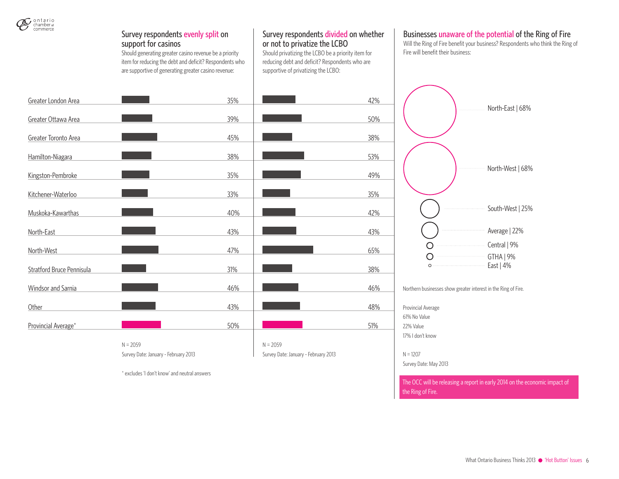

#### Survey respondents evenly split on support for casinos

\* excludes 'I don't know' and neutral answers

Should generating greater casino revenue be a priority item for reducing the debt and deficit? Respondents who are supportive of generating greater casino revenue:

#### Survey respondents divided on whether or not to privatize the LCBO

Should privatizing the LCBO be a priority item for reducing debt and deficit? Respondents who are supportive of privatizing the LCBO:

#### Businesses unaware of the potential of the Ring of Fire

Will the Ring of Fire benefit your business? Respondents who think the Ring of Fire will benefit their business:

North-East | 68%

| Greater London Area       |                                      | 35% |                                      | 42%                        |
|---------------------------|--------------------------------------|-----|--------------------------------------|----------------------------|
| Greater Ottawa Area       |                                      | 39% |                                      | 50%                        |
| Greater Toronto Area      |                                      | 45% |                                      | 38%                        |
| Hamilton-Niagara          |                                      | 38% |                                      | 53%                        |
| Kingston-Pembroke         |                                      | 35% |                                      | 49%                        |
| Kitchener-Waterloo        |                                      | 33% |                                      | 35%                        |
| Muskoka-Kawarthas         |                                      | 40% |                                      | 42%                        |
| North-East                |                                      | 43% |                                      | 43%                        |
| North-West                |                                      | 47% |                                      | 65%                        |
| Stratford Bruce Pennisula |                                      | 31% |                                      | 38%                        |
| Windsor and Sarnia        |                                      | 46% |                                      | 46%<br>N                   |
| Other                     |                                      | 43% |                                      | 48%<br>$\mathsf{P}$        |
| Provincial Average*       |                                      | 50% |                                      | 6<br>51%<br>$\overline{2}$ |
|                           | $N = 2059$                           |     | $N = 2059$                           | $\overline{1}$             |
|                           | Survey Date: January - February 2013 |     | Survey Date: January - February 2013 | N                          |

North-West | 68% South-West | 25% Average | 22% Central | 9%  $\circ$  $\bigcirc$ GTHA | 9%  $\circ$ East | 4%

lorthern businesses show greater interest in the Ring of Fire.

Provincial Average 61% No Value 22% Value 17% I don't know

 $= 1207$ 

Survey Date: May 2013

The OCC will be releasing a report in early 2014 on the economic impact of the Ring of Fire.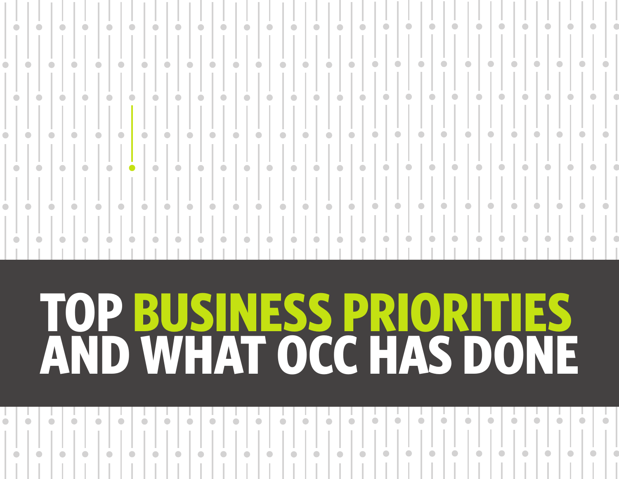|           | $\bullet$ |           | $\bullet$ | $\bullet$ | $\bullet$ |           | $\bullet$ | $\bullet$ | $\bullet$ | $\bullet$ | $\bullet$ | $\bullet$ | $\bullet$ | $\bullet$ | $\bullet$ | $\bullet$ | $\bullet$                                | $\bullet$              | $\bullet$ | $\bullet$ | $\bullet$ | $\bullet$                | $\bullet$ | $\bullet$              | $\bullet$ | $\bullet$ | $\bullet$              |           |  |
|-----------|-----------|-----------|-----------|-----------|-----------|-----------|-----------|-----------|-----------|-----------|-----------|-----------|-----------|-----------|-----------|-----------|------------------------------------------|------------------------|-----------|-----------|-----------|--------------------------|-----------|------------------------|-----------|-----------|------------------------|-----------|--|
|           |           |           |           |           |           |           |           |           |           |           |           |           |           |           |           |           |                                          |                        |           |           |           |                          |           |                        |           |           |                        |           |  |
| $\bullet$ |           | $\bullet$ | $\bullet$ |           | $\bullet$ | $\bullet$ | $\bullet$ |           | $\bullet$ | $\bullet$ | $\bullet$ | $\bullet$ | $\bullet$ | $\bullet$ | $\bullet$ | $\bullet$ | $\bullet$                                | $\bullet$<br>$\bullet$ | $\bullet$ | $\bullet$ | $\bullet$ |                          | $\bullet$ | $\bullet$<br>$\bullet$ | $\bullet$ | $\bullet$ | $\bullet$              | $\bullet$ |  |
|           | $\bullet$ |           | $\bullet$ | $\bullet$ | $\bullet$ |           | I O       | $\bullet$ | $\bullet$ | $\bullet$ | $\bullet$ | $\bullet$ | $\bullet$ | $\bullet$ | $\bullet$ | $\bullet$ | $\mathbf{C} \in \mathbb{R}^{n \times n}$ | $\bullet$              | $\bullet$ | $\bullet$ | $\bullet$ | $\bullet$                | $\bullet$ | $\bullet$              | $\bullet$ | $\bullet$ | $\bullet$              |           |  |
| $\bullet$ |           | $\bullet$ | $\bullet$ |           | $\bullet$ | $\bullet$ | $\bullet$ |           | $\bullet$ | $\bullet$ | $\bullet$ | $\bullet$ | $\bullet$ | $\bullet$ | $\bullet$ | $\bullet$ | $\bullet$                                | $\bullet$<br>$\bullet$ | $\bullet$ | $\bullet$ | $\bullet$ |                          | $\bullet$ | $\bullet$<br>$\bullet$ | $\bullet$ |           | $\bullet$<br>$\bullet$ | $\bullet$ |  |
|           | $\bullet$ |           | $\bullet$ | $\bullet$ | $\bullet$ |           | $\bullet$ | $\bullet$ | $\bullet$ | $\bullet$ | $\bullet$ | $\bullet$ | $\bullet$ | $\bullet$ | $\bullet$ | $\bullet$ | $\mathbb{C}^{\bullet}$ .                 | $\bullet$              | $\bullet$ | $\bullet$ | $\bullet$ | $\overline{\phantom{a}}$ | $\bullet$ | $\bullet$              | $\bullet$ | $\bullet$ | $\bullet$              | $\bullet$ |  |
| $\bullet$ |           | $\bullet$ | $\bullet$ |           | $\bullet$ | $\bullet$ | $\bullet$ |           | $\bullet$ | $\bullet$ | $\bullet$ | $\bullet$ | $\bullet$ | $\bullet$ | $\bullet$ | $\bullet$ | $\bullet$                                | $\bullet$<br>$\bullet$ | $\bullet$ | $\bullet$ | $\bullet$ |                          | $\bullet$ | $\bullet$<br>$\bullet$ | $\bullet$ | $\bullet$ | $\bullet$              | $\bullet$ |  |
|           | $\bullet$ |           |           | $\bullet$ | $\bullet$ |           | $\bullet$ | $\bullet$ | $\bullet$ | $\bullet$ | $\bullet$ | $\bullet$ | $\bullet$ | $\bullet$ | $\bullet$ | $\bullet$ | $\sim$ 0 $\sim$                          | $\bullet$              | $\bullet$ | $\bullet$ | $\bullet$ | $\bullet$                | $\bullet$ | $\bullet$              | $\bullet$ | $\bullet$ | $\bullet$              | $\bullet$ |  |

## **TOP BUSINESS PRI AND WHAT OCC HAS D**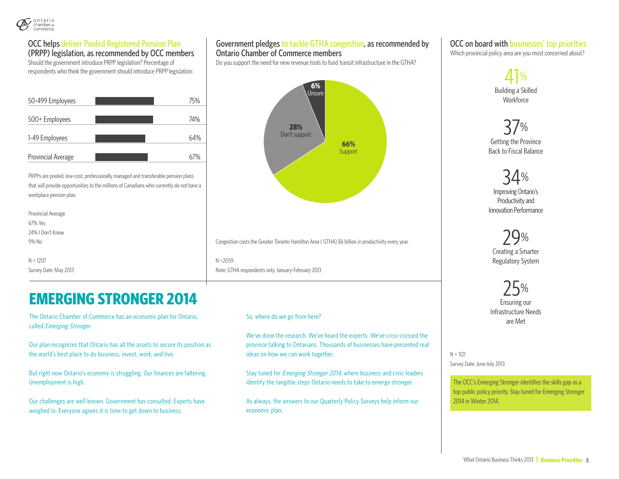

#### OCC helps deliver Pooled Registered Pension Plan

(PRPP) legislation, as recommended by OCC members Should the government introduce PRPP legislation? Percentage of respondents who think the government should introduce PRPP legislation:

| 50-499 Employees   | 75% |
|--------------------|-----|
| 500+ Employees     | 74% |
| 1-49 Employees     | 64% |
| Provincial Average |     |

PRPPs are pooled, low-cost, professionally managed and transferable pension plans that will provide opportunities to the millions of Canadians who currently do not have a workplace pension plan.

| Provincial Average    |                                                        |
|-----------------------|--------------------------------------------------------|
| 67% Yes               |                                                        |
| 24%   Don't Know      |                                                        |
| 9% No                 | Congestion costs the Greater Toronto Hamilton Area (GT |
|                       |                                                        |
| $N = 1207$            | $N = 2059$                                             |
| Survey Date: May 2013 | Note: GTHA respondents only, January-February 2013     |
|                       |                                                        |

#### **EMERGING STRONGER 2014**

The Ontario Chamber of Commerce has an economic plan for Ontario, called Emerging Stronger.

Our plan recognizes that Ontario has all the assets to secure its position as the world's best place to do business, invest, work, and live.

But right now Ontario's economy is struggling. Our finances are faltering. Unemployment is high.

Our challenges are well known. Government has consulted. Experts have weighed in. Everyone agrees it is time to get down to business.

#### Government pledges to tackle GTHA congestion, as recommended by Ontario Chamber of Commerce members

Do you support the need for new revenue tools to fund transit infrastructure in the GTHA?



HA) \$6 billion in productivity every year.

#### So, where do we go from here?

We've done the research. We've heard the experts. We've criss-crossed the province talking to Ontarians. Thousands of businesses have presented real ideas on how we can work together.

Stay tuned for *Emerging Stronger 2014*, where business and civic leaders identify the tangible steps Ontario needs to take to emerge stronger.

As always, the answers to our Quarterly Policy Surveys help inform our economic plan.

#### OCC on board with businesses' top priorities

Which provincial policy area are you most concerned about?



37% Getting the Province Back to Fiscal Balance

34% Improving Ontario's Productivity and Innovation Performance

29%

Creating a Smarter Regulatory System

25%

Ensuring our Infrastructure Needs are Met

 $N = 1121$ Survey Date: June-July 2013

The OCC's Emerging Stronger identifies the skills gap as a top public policy priority. Stay tuned for Emerging Stronger 2014 in Winter 2014.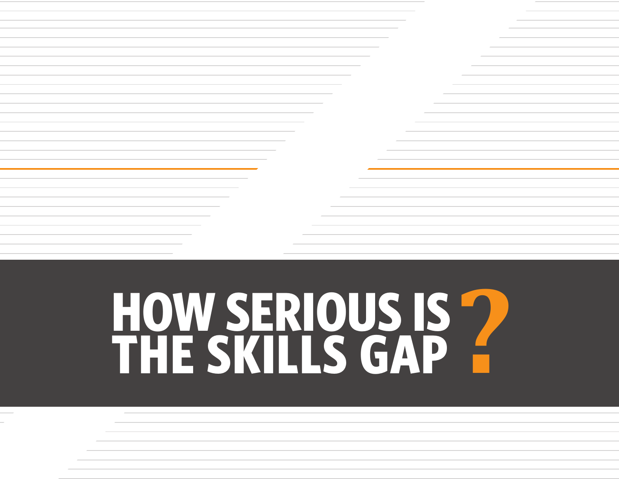# **? HOw SERIOUS IS THE SKILLS GAP**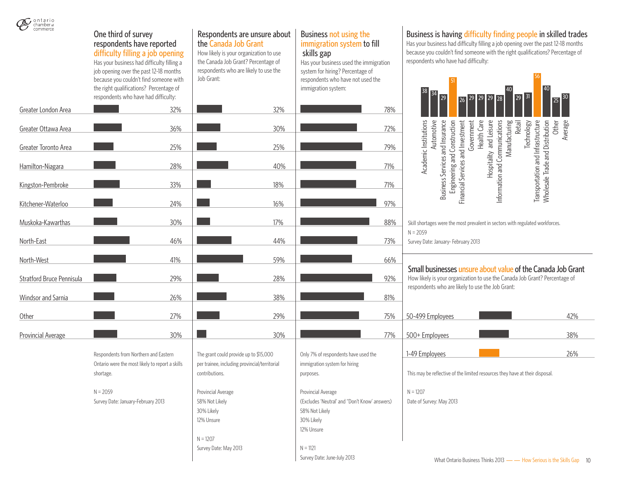

| CHALLINGE OF<br>commerce  | One third of survey<br>respondents have reported<br>difficulty filling a job opening<br>Has your business had difficulty filling a<br>job opening over the past 12-18 months<br>because you couldn't find someone with<br>the right qualifications? Percentage of<br>respondents who have had difficulty: | Respondents are unsure about<br>the Canada Job Grant<br>How likely is your organization to use<br>the Canada Job Grant? Percentage of<br>respondents who are likely to use the<br>Job Grant: | Business not using the<br>immigration system to fill<br>skills gap<br>Has your business used the immigration<br>system for hiring? Percentage of<br>respondents who have not used the<br>immigration system: | Business is having difficulty finding people in skilled trades<br>Has your business had difficulty filling a job opening over the past 12-18 months<br>because you couldn't find someone with the right qualifications? Percentage of<br>respondents who have had difficulty:<br>29<br>25 30<br>26 29 29<br>29 |
|---------------------------|-----------------------------------------------------------------------------------------------------------------------------------------------------------------------------------------------------------------------------------------------------------------------------------------------------------|----------------------------------------------------------------------------------------------------------------------------------------------------------------------------------------------|--------------------------------------------------------------------------------------------------------------------------------------------------------------------------------------------------------------|----------------------------------------------------------------------------------------------------------------------------------------------------------------------------------------------------------------------------------------------------------------------------------------------------------------|
| Greater London Area       | 32%                                                                                                                                                                                                                                                                                                       | 32%                                                                                                                                                                                          | 78%                                                                                                                                                                                                          |                                                                                                                                                                                                                                                                                                                |
| Greater Ottawa Area       | 36%                                                                                                                                                                                                                                                                                                       | 30%                                                                                                                                                                                          | 72%                                                                                                                                                                                                          | Health Care<br>Automotive<br><b>Technology</b><br>Government<br>Other<br>Retail<br>Average                                                                                                                                                                                                                     |
| Greater Toronto Area      | 25%                                                                                                                                                                                                                                                                                                       | 25%                                                                                                                                                                                          | 79%                                                                                                                                                                                                          | Manufacturing<br>and Distribution                                                                                                                                                                                                                                                                              |
| Hamilton-Niagara          | 28%                                                                                                                                                                                                                                                                                                       | 40%                                                                                                                                                                                          | 71%                                                                                                                                                                                                          | Academic Institutions<br>Business Services and Insurance<br>Engineering and Construction<br>Hospitality and Leisure<br>Information and Communications<br>Transportation and Infrastructure<br>Financial Services and Investment                                                                                |
| Kingston-Pembroke         | 33%                                                                                                                                                                                                                                                                                                       | 18%                                                                                                                                                                                          | 71%                                                                                                                                                                                                          | Wholesale Trade                                                                                                                                                                                                                                                                                                |
| Kitchener-Waterloo        | 24%                                                                                                                                                                                                                                                                                                       | 16%                                                                                                                                                                                          | 97%                                                                                                                                                                                                          |                                                                                                                                                                                                                                                                                                                |
| Muskoka-Kawarthas         | 30%                                                                                                                                                                                                                                                                                                       | 17%                                                                                                                                                                                          | 88%                                                                                                                                                                                                          | Skill shortages were the most prevalent in sectors with regulated workforces.                                                                                                                                                                                                                                  |
| North-East                | 46%                                                                                                                                                                                                                                                                                                       | 44%                                                                                                                                                                                          | 73%                                                                                                                                                                                                          | $N = 2059$<br>Survey Date: January-February 2013                                                                                                                                                                                                                                                               |
| North-West                | 41%                                                                                                                                                                                                                                                                                                       | 59%                                                                                                                                                                                          | 66%                                                                                                                                                                                                          |                                                                                                                                                                                                                                                                                                                |
| Stratford Bruce Pennisula | 29%                                                                                                                                                                                                                                                                                                       | 28%                                                                                                                                                                                          | 92%                                                                                                                                                                                                          | Small businesses unsure about value of the Canada Job Grant<br>How likely is your organization to use the Canada Job Grant? Percentage of<br>respondents who are likely to use the Job Grant:                                                                                                                  |
| Windsor and Sarnia        | 26%                                                                                                                                                                                                                                                                                                       | 38%                                                                                                                                                                                          | 81%                                                                                                                                                                                                          |                                                                                                                                                                                                                                                                                                                |
| Other                     | 27%                                                                                                                                                                                                                                                                                                       | 29%                                                                                                                                                                                          | 75%                                                                                                                                                                                                          | 50-499 Employees<br>42%                                                                                                                                                                                                                                                                                        |
| Provincial Average        | 30%                                                                                                                                                                                                                                                                                                       | 30%                                                                                                                                                                                          | 77%                                                                                                                                                                                                          | 38%<br>500+ Employees                                                                                                                                                                                                                                                                                          |
|                           | Respondents from Northern and Eastern<br>Ontario were the most likely to report a skills<br>shortage.                                                                                                                                                                                                     | The grant could provide up to \$15,000<br>per trainee, including provincial/territorial<br>contributions.                                                                                    | Only 7% of respondents have used the<br>immigration system for hiring<br>purposes.                                                                                                                           | 26%<br>1-49 Employees<br>This may be reflective of the limited resources they have at their disposal.                                                                                                                                                                                                          |
|                           | $N = 2059$<br>Survey Date: January-February 2013                                                                                                                                                                                                                                                          | Provincial Average<br>58% Not Likely<br>30% Likely<br>12% Unsure<br>$N = 1207$<br>Survey Date: May 2013                                                                                      | Provincial Average<br>(Excludes 'Neutral' and "Don't Know' answers)<br>58% Not Likely<br>30% Likely<br>12% Unsure<br>$N = 1121$<br>Survey Date: June-July 2013                                               | $N = 1207$<br>Date of Survey: May 2013<br>What Ontario Rusiness Thinks 2013                                                                                                                                                                                                                                    |